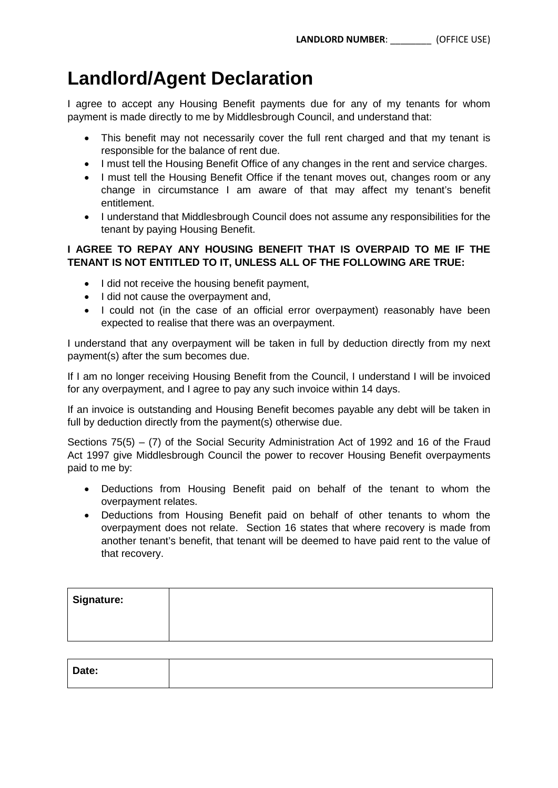# **Landlord/Agent Declaration**

I agree to accept any Housing Benefit payments due for any of my tenants for whom payment is made directly to me by Middlesbrough Council, and understand that:

- This benefit may not necessarily cover the full rent charged and that my tenant is responsible for the balance of rent due.
- I must tell the Housing Benefit Office of any changes in the rent and service charges.
- I must tell the Housing Benefit Office if the tenant moves out, changes room or any change in circumstance I am aware of that may affect my tenant's benefit entitlement.
- I understand that Middlesbrough Council does not assume any responsibilities for the tenant by paying Housing Benefit.

## **I AGREE TO REPAY ANY HOUSING BENEFIT THAT IS OVERPAID TO ME IF THE TENANT IS NOT ENTITLED TO IT, UNLESS ALL OF THE FOLLOWING ARE TRUE:**

- I did not receive the housing benefit payment,
- I did not cause the overpayment and,
- I could not (in the case of an official error overpayment) reasonably have been expected to realise that there was an overpayment.

I understand that any overpayment will be taken in full by deduction directly from my next payment(s) after the sum becomes due.

If I am no longer receiving Housing Benefit from the Council, I understand I will be invoiced for any overpayment, and I agree to pay any such invoice within 14 days.

If an invoice is outstanding and Housing Benefit becomes payable any debt will be taken in full by deduction directly from the payment(s) otherwise due.

Sections 75(5) – (7) of the Social Security Administration Act of 1992 and 16 of the Fraud Act 1997 give Middlesbrough Council the power to recover Housing Benefit overpayments paid to me by:

- Deductions from Housing Benefit paid on behalf of the tenant to whom the overpayment relates.
- Deductions from Housing Benefit paid on behalf of other tenants to whom the overpayment does not relate. Section 16 states that where recovery is made from another tenant's benefit, that tenant will be deemed to have paid rent to the value of that recovery.

| <b>Signature:</b> |  |  |
|-------------------|--|--|
|                   |  |  |
|                   |  |  |

| Date: |  |  |
|-------|--|--|
|       |  |  |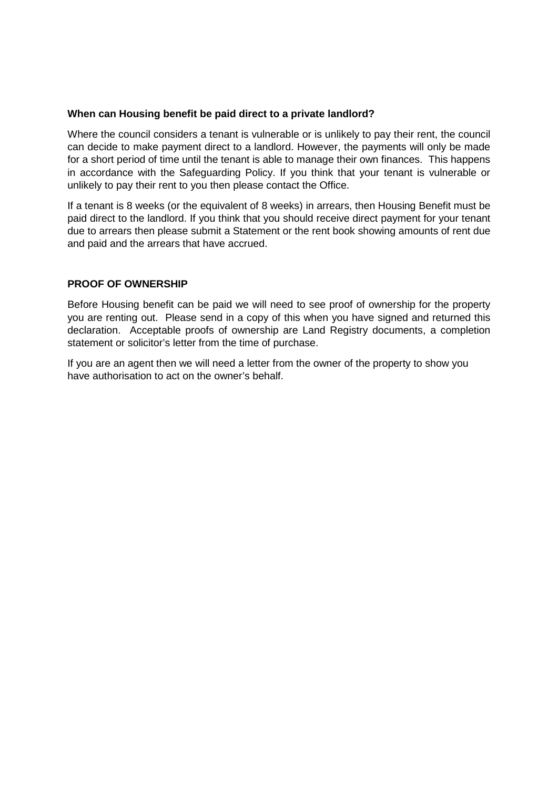#### **When can Housing benefit be paid direct to a private landlord?**

Where the council considers a tenant is vulnerable or is unlikely to pay their rent, the council can decide to make payment direct to a landlord. However, the payments will only be made for a short period of time until the tenant is able to manage their own finances. This happens in accordance with the Safeguarding Policy. If you think that your tenant is vulnerable or unlikely to pay their rent to you then please contact the Office.

If a tenant is 8 weeks (or the equivalent of 8 weeks) in arrears, then Housing Benefit must be paid direct to the landlord. If you think that you should receive direct payment for your tenant due to arrears then please submit a Statement or the rent book showing amounts of rent due and paid and the arrears that have accrued.

### **PROOF OF OWNERSHIP**

Before Housing benefit can be paid we will need to see proof of ownership for the property you are renting out. Please send in a copy of this when you have signed and returned this declaration. Acceptable proofs of ownership are Land Registry documents, a completion statement or solicitor's letter from the time of purchase.

If you are an agent then we will need a letter from the owner of the property to show you have authorisation to act on the owner's behalf.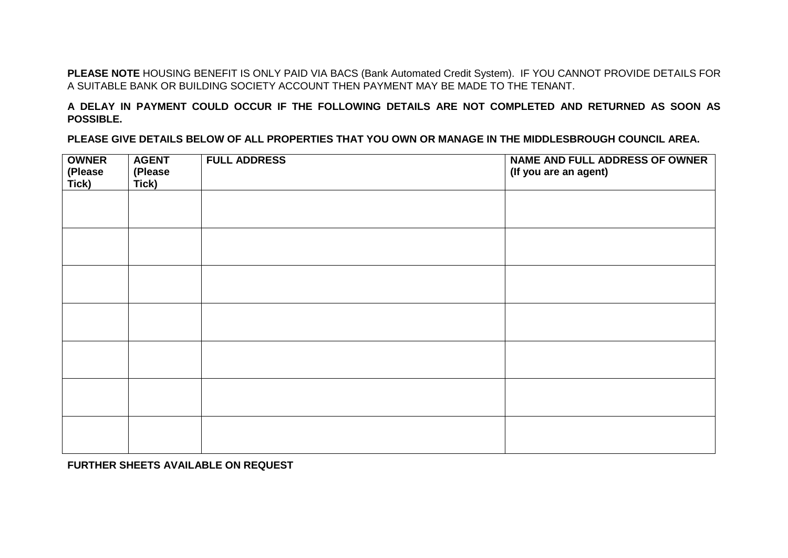**PLEASE NOTE** HOUSING BENEFIT IS ONLY PAID VIA BACS (Bank Automated Credit System). IF YOU CANNOT PROVIDE DETAILS FOR A SUITABLE BANK OR BUILDING SOCIETY ACCOUNT THEN PAYMENT MAY BE MADE TO THE TENANT.

**A DELAY IN PAYMENT COULD OCCUR IF THE FOLLOWING DETAILS ARE NOT COMPLETED AND RETURNED AS SOON AS POSSIBLE.**

**PLEASE GIVE DETAILS BELOW OF ALL PROPERTIES THAT YOU OWN OR MANAGE IN THE MIDDLESBROUGH COUNCIL AREA.**

| <b>OWNER</b><br>(Please<br>Tick) | <b>AGENT</b><br>(Please<br>Tick) | <b>FULL ADDRESS</b> | <b>NAME AND FULL ADDRESS OF OWNER</b><br>(If you are an agent) |
|----------------------------------|----------------------------------|---------------------|----------------------------------------------------------------|
|                                  |                                  |                     |                                                                |
|                                  |                                  |                     |                                                                |
|                                  |                                  |                     |                                                                |
|                                  |                                  |                     |                                                                |
|                                  |                                  |                     |                                                                |
|                                  |                                  |                     |                                                                |
|                                  |                                  |                     |                                                                |

**FURTHER SHEETS AVAILABLE ON REQUEST**